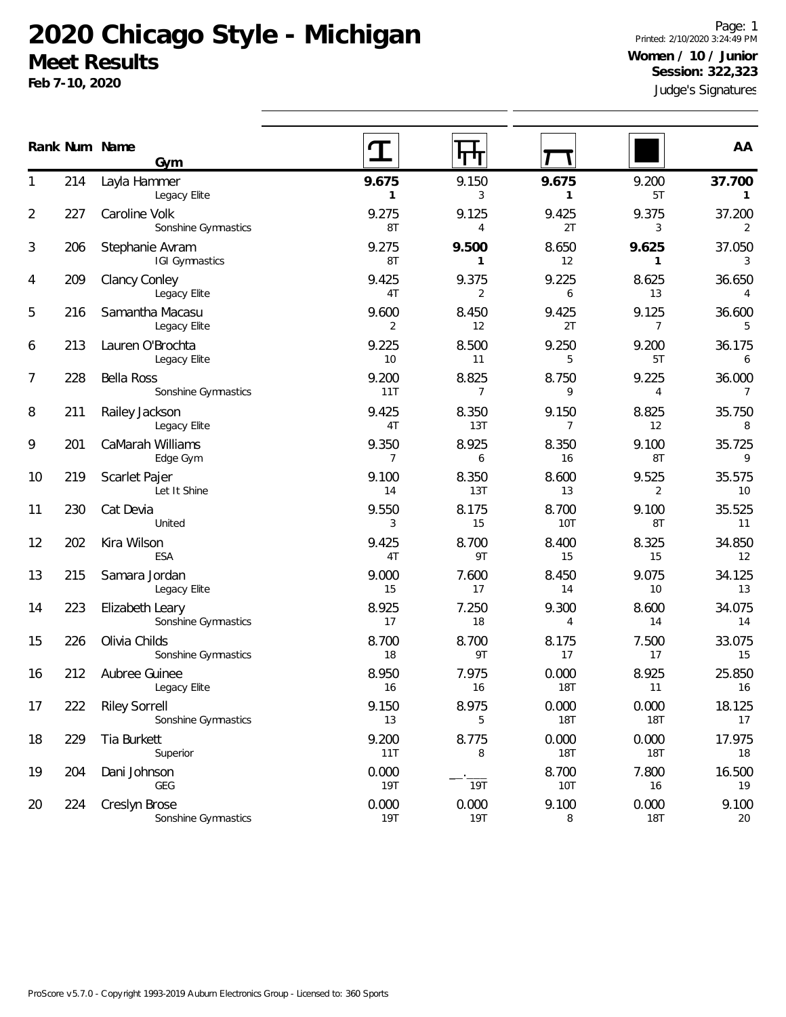# **2020 Chicago Style - Michigan Meet Results**

**Feb 7-10, 2020**

Judge's Signatures Page: 1 Printed: 2/10/2020 3:24:49 PM **Women / 10 / Junior Session: 322,323**

|    | Rank Num Name | Gym                                         |                       |                         |                         |                         | AA                       |
|----|---------------|---------------------------------------------|-----------------------|-------------------------|-------------------------|-------------------------|--------------------------|
|    | 214           | Layla Hammer<br>Legacy Elite                | 9.675<br>$\mathbf{1}$ | 9.150<br>3              | 9.675<br>$\mathbf{1}$   | 9.200<br>5T             | 37.700<br>$\mathbf{1}$   |
| 2  | 227           | Caroline Volk<br>Sonshine Gymnastics        | 9.275<br>8T           | 9.125<br>$\overline{4}$ | 9.425<br>2T             | 9.375<br>3              | 37.200<br>2              |
| 3  | 206           | Stephanie Avram<br>IGI Gymnastics           | 9.275<br>8T           | 9.500<br>$\mathbf{1}$   | 8.650<br>12             | 9.625<br>1              | 37.050<br>3              |
| 4  | 209           | <b>Clancy Conley</b><br>Legacy Elite        | 9.425<br>4T           | 9.375<br>2              | 9.225<br>6              | 8.625<br>13             | 36.650<br>$\overline{4}$ |
| 5  | 216           | Samantha Macasu<br>Legacy Elite             | 9.600<br>2            | 8.450<br>12             | 9.425<br>2T             | 9.125<br>$\overline{7}$ | 36.600<br>5              |
| 6  | 213           | Lauren O'Brochta<br>Legacy Elite            | 9.225<br>10           | 8.500<br>11             | 9.250<br>5              | 9.200<br>5T             | 36.175<br>6              |
| 7  | 228           | <b>Bella Ross</b><br>Sonshine Gymnastics    | 9.200<br>11T          | 8.825<br>$\overline{7}$ | 8.750<br>9              | 9.225<br>$\overline{4}$ | 36.000<br>$\overline{7}$ |
| 8  | 211           | Railey Jackson<br>Legacy Elite              | 9.425<br>4T           | 8.350<br>13T            | 9.150<br>$\overline{7}$ | 8.825<br>12             | 35.750<br>8              |
| 9  | 201           | CaMarah Williams<br>Edge Gym                | 9.350<br>7            | 8.925<br>6              | 8.350<br>16             | 9.100<br>8T             | 35.725<br>9              |
| 10 | 219           | Scarlet Pajer<br>Let It Shine               | 9.100<br>14           | 8.350<br>13T            | 8.600<br>13             | 9.525<br>2              | 35.575<br>10             |
| 11 | 230           | Cat Devia<br>United                         | 9.550<br>3            | 8.175<br>15             | 8.700<br>10T            | 9.100<br>8T             | 35.525<br>11             |
| 12 | 202           | Kira Wilson<br>ESA                          | 9.425<br>4T           | 8.700<br>9T             | 8.400<br>15             | 8.325<br>15             | 34.850<br>12             |
| 13 | 215           | Samara Jordan<br>Legacy Elite               | 9.000<br>15           | 7.600<br>17             | 8.450<br>14             | 9.075<br>10             | 34.125<br>13             |
| 14 | 223           | Elizabeth Leary<br>Sonshine Gymnastics      | 8.925<br>17           | 7.250<br>18             | 9.300<br>$\overline{4}$ | 8.600<br>14             | 34.075<br>14             |
| 15 | 226           | Olivia Childs<br>Sonshine Gymnastics        | 8.700<br>18           | 8.700<br>9T             | 8.175<br>17             | 7.500<br>17             | 33.075<br>15             |
| 16 | 212           | Aubree Guinee<br>Legacy Elite               | 8.950<br>16           | 7.975<br>16             | 0.000<br><b>18T</b>     | 8.925<br>11             | 25.850<br>16             |
| 17 | 222           | <b>Riley Sorrell</b><br>Sonshine Gymnastics | 9.150<br>13           | 8.975<br>5              | 0.000<br><b>18T</b>     | 0.000<br><b>18T</b>     | 18.125<br>17             |
| 18 | 229           | Tia Burkett<br>Superior                     | 9.200<br>11T          | 8.775<br>8              | 0.000<br><b>18T</b>     | 0.000<br><b>18T</b>     | 17.975<br>18             |
| 19 | 204           | Dani Johnson<br>GEG                         | 0.000<br>19T          | <b>19T</b>              | 8.700<br>10T            | 7.800<br>16             | 16.500<br>19             |
| 20 | 224           | Creslyn Brose<br>Sonshine Gymnastics        | 0.000<br><b>19T</b>   | 0.000<br><b>19T</b>     | 9.100<br>8              | 0.000<br><b>18T</b>     | 9.100<br>20              |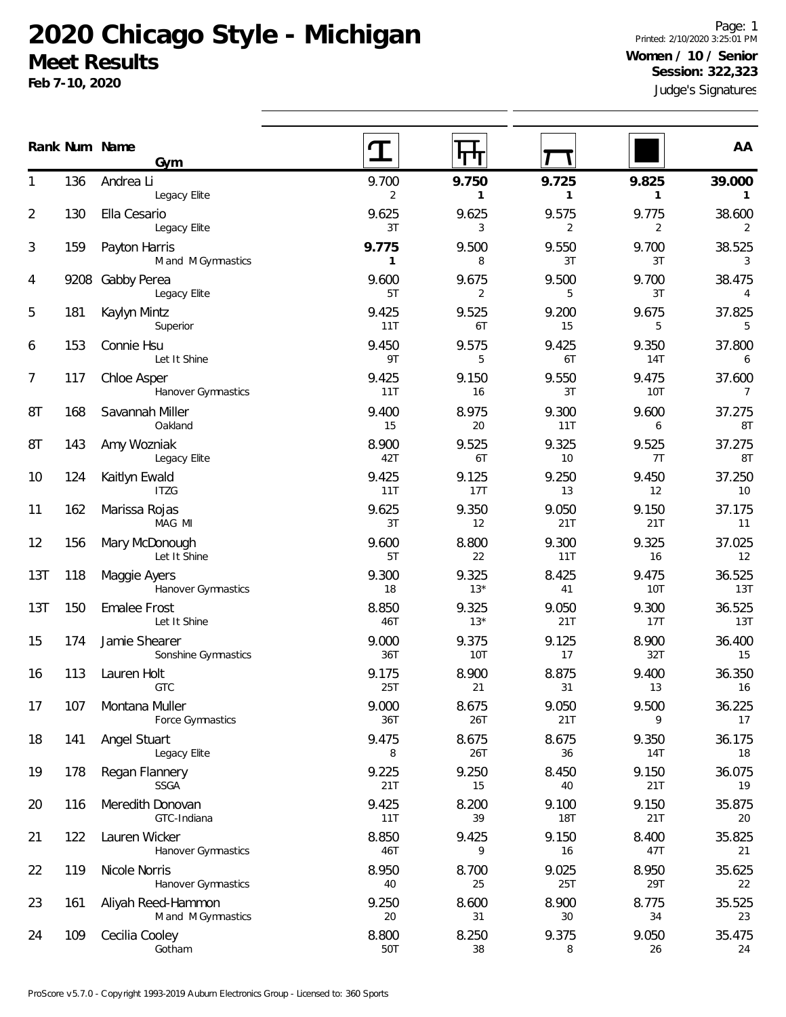# **2020 Chicago Style - Michigan Meet Results**

**Feb 7-10, 2020**

Judge's Signatures Page: 1 Printed: 2/10/2020 3:25:01 PM **Women / 10 / Senior Session: 322,323**

|                |      | Rank Num Name<br>Gym                     |              | गा                    |                         |                       | AA                        |
|----------------|------|------------------------------------------|--------------|-----------------------|-------------------------|-----------------------|---------------------------|
| 1              | 136  | Andrea Li<br>Legacy Elite                | 9.700<br>2   | 9.750<br>$\mathbf{1}$ | 9.725<br>1              | 9.825<br>$\mathbf{1}$ | 39.000<br>$\mathbf{1}$    |
| $\overline{2}$ | 130  | Ella Cesario<br>Legacy Elite             | 9.625<br>3T  | 9.625<br>3            | 9.575<br>$\overline{2}$ | 9.775<br>2            | 38.600<br>2               |
| 3              | 159  | Payton Harris<br>M and M Gymnastics      | 9.775<br>1   | 9.500<br>8            | 9.550<br>3T             | 9.700<br>3T           | 38.525<br>3               |
| 4              | 9208 | Gabby Perea<br>Legacy Elite              | 9.600<br>5T  | 9.675<br>2            | 9.500<br>5              | 9.700<br>3T           | 38.475<br>4               |
| 5              | 181  | Kaylyn Mintz<br>Superior                 | 9.425<br>11T | 9.525<br>6T           | 9.200<br>15             | 9.675<br>5            | 37.825<br>5               |
| 6              | 153  | Connie Hsu<br>Let It Shine               | 9.450<br>9T  | 9.575<br>5            | 9.425<br>6T             | 9.350<br>14T          | 37.800<br>6               |
| 7              | 117  | Chloe Asper<br>Hanover Gymnastics        | 9.425<br>11T | 9.150<br>16           | 9.550<br>3T             | 9.475<br>10T          | 37.600<br>$7\overline{ }$ |
| 8T             | 168  | Savannah Miller<br>Oakland               | 9.400<br>15  | 8.975<br>20           | 9.300<br>11T            | 9.600<br>6            | 37.275<br>8T              |
| 8T             | 143  | Amy Wozniak<br>Legacy Elite              | 8.900<br>42T | 9.525<br>6T           | 9.325<br>10             | 9.525<br>7T           | 37.275<br>8T              |
| 10             | 124  | Kaitlyn Ewald<br><b>ITZG</b>             | 9.425<br>11T | 9.125<br>17T          | 9.250<br>13             | 9.450<br>12           | 37.250<br>10              |
| 11             | 162  | Marissa Rojas<br>MAG MI                  | 9.625<br>3T  | 9.350<br>12           | 9.050<br>21T            | 9.150<br>21T          | 37.175<br>11              |
| 12             | 156  | Mary McDonough<br>Let It Shine           | 9.600<br>5T  | 8.800<br>22           | 9.300<br>11T            | 9.325<br>16           | 37.025<br>12              |
| 13T            | 118  | Maggie Ayers<br>Hanover Gymnastics       | 9.300<br>18  | 9.325<br>$13*$        | 8.425<br>41             | 9.475<br>10T          | 36.525<br>13T             |
| 13T            | 150  | <b>Emalee Frost</b><br>Let It Shine      | 8.850<br>46T | 9.325<br>$13*$        | 9.050<br>21T            | 9.300<br>17T          | 36.525<br>13T             |
| 15             | 174  | Jamie Shearer<br>Sonshine Gymnastics     | 9.000<br>36T | 9.375<br>10T          | 9.125<br>17             | 8.900<br>32T          | 36.400<br>15              |
| 16             | 113  | Lauren Holt<br><b>GTC</b>                | 9.175<br>25T | 8.900<br>21           | 8.875<br>31             | 9.400<br>13           | 36.350<br>16              |
| 17             | 107  | Montana Muller<br>Force Gymnastics       | 9.000<br>36T | 8.675<br>26T          | 9.050<br>21T            | 9.500<br>9            | 36.225<br>17              |
| 18             | 141  | Angel Stuart<br>Legacy Elite             | 9.475<br>8   | 8.675<br>26T          | 8.675<br>36             | 9.350<br>14T          | 36.175<br>18              |
| 19             | 178  | Regan Flannery<br><b>SSGA</b>            | 9.225<br>21T | 9.250<br>15           | 8.450<br>40             | 9.150<br>21T          | 36.075<br>19              |
| 20             | 116  | Meredith Donovan<br>GTC-Indiana          | 9.425<br>11T | 8.200<br>39           | 9.100<br><b>18T</b>     | 9.150<br>21T          | 35.875<br>20              |
| 21             | 122  | Lauren Wicker<br>Hanover Gymnastics      | 8.850<br>46T | 9.425<br>9            | 9.150<br>16             | 8.400<br>47T          | 35.825<br>21              |
| 22             | 119  | Nicole Norris<br>Hanover Gymnastics      | 8.950<br>40  | 8.700<br>25           | 9.025<br>25T            | 8.950<br>29T          | 35.625<br>22              |
| 23             | 161  | Aliyah Reed-Hammon<br>M and M Gymnastics | 9.250<br>20  | 8.600<br>31           | 8.900<br>30             | 8.775<br>34           | 35.525<br>23              |
| 24             | 109  | Cecilia Cooley<br>Gotham                 | 8.800<br>50T | 8.250<br>38           | 9.375<br>8              | 9.050<br>26           | 35.475<br>24              |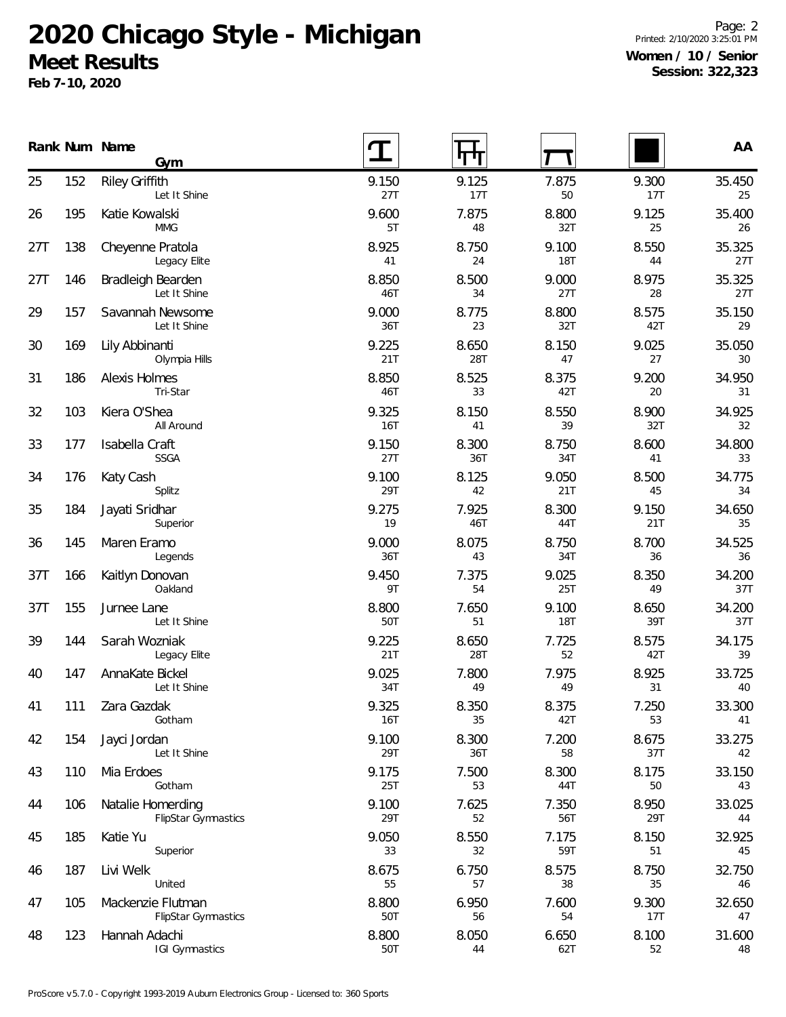# **2020 Chicago Style - Michigan**

# **Meet Results**

**Feb 7-10, 2020**

Page: 2 Printed: 2/10/2020 3:25:01 PM **Women / 10 / Senior Session: 322,323**

|     |     | Rank Num Name<br>Gym                            |                     | Л            |                     |              | AA            |
|-----|-----|-------------------------------------------------|---------------------|--------------|---------------------|--------------|---------------|
| 25  | 152 | <b>Riley Griffith</b><br>Let It Shine           | 9.150<br>27T        | 9.125<br>17T | 7.875<br>50         | 9.300<br>17T | 35.450<br>25  |
| 26  | 195 | Katie Kowalski<br><b>MMG</b>                    | 9.600<br>5T         | 7.875<br>48  | 8.800<br>32T        | 9.125<br>25  | 35.400<br>26  |
| 27T | 138 | Cheyenne Pratola<br>Legacy Elite                | 8.925<br>41         | 8.750<br>24  | 9.100<br>18T        | 8.550<br>44  | 35.325<br>27T |
| 27T | 146 | Bradleigh Bearden<br>Let It Shine               | 8.850<br>46T        | 8.500<br>34  | 9.000<br>27T        | 8.975<br>28  | 35.325<br>27T |
| 29  | 157 | Savannah Newsome<br>Let It Shine                | 9.000<br>36T        | 8.775<br>23  | 8.800<br>32T        | 8.575<br>42T | 35.150<br>29  |
| 30  | 169 | Lily Abbinanti<br>Olympia Hills                 | 9.225<br>21T        | 8.650<br>28T | 8.150<br>47         | 9.025<br>27  | 35.050<br>30  |
| 31  | 186 | Alexis Holmes<br>Tri-Star                       | 8.850<br>46T        | 8.525<br>33  | 8.375<br>42T        | 9.200<br>20  | 34.950<br>31  |
| 32  | 103 | Kiera O'Shea<br>All Around                      | 9.325<br><b>16T</b> | 8.150<br>41  | 8.550<br>39         | 8.900<br>32T | 34.925<br>32  |
| 33  | 177 | Isabella Craft<br><b>SSGA</b>                   | 9.150<br>27T        | 8.300<br>36T | 8.750<br>34T        | 8.600<br>41  | 34.800<br>33  |
| 34  | 176 | Katy Cash<br>Splitz                             | 9.100<br>29T        | 8.125<br>42  | 9.050<br>21T        | 8.500<br>45  | 34.775<br>34  |
| 35  | 184 | Jayati Sridhar<br>Superior                      | 9.275<br>19         | 7.925<br>46T | 8.300<br>44T        | 9.150<br>21T | 34.650<br>35  |
| 36  | 145 | Maren Eramo<br>Legends                          | 9.000<br>36T        | 8.075<br>43  | 8.750<br>34T        | 8.700<br>36  | 34.525<br>36  |
| 37T | 166 | Kaitlyn Donovan<br>Oakland                      | 9.450<br>9T         | 7.375<br>54  | 9.025<br><b>25T</b> | 8.350<br>49  | 34.200<br>37T |
| 37T | 155 | Jurnee Lane<br>Let It Shine                     | 8.800<br>50T        | 7.650<br>51  | 9.100<br>18T        | 8.650<br>39T | 34.200<br>37T |
| 39  | 144 | Sarah Wozniak<br>Legacy Elite                   | 9.225<br>21T        | 8.650<br>28T | 7.725<br>52         | 8.575<br>42T | 34.175<br>39  |
| 40  | 147 | AnnaKate Bickel<br>Let It Shine                 | 9.025<br>34T        | 7.800<br>49  | 7.975<br>49         | 8.925<br>31  | 33.725<br>40  |
| 41  | 111 | Zara Gazdak<br>Gotham                           | 9.325<br><b>16T</b> | 8.350<br>35  | 8.375<br>42T        | 7.250<br>53  | 33.300<br>41  |
| 42  | 154 | Jayci Jordan<br>Let It Shine                    | 9.100<br>29T        | 8.300<br>36T | 7.200<br>58         | 8.675<br>37T | 33.275<br>42  |
| 43  | 110 | Mia Erdoes<br>Gotham                            | 9.175<br>25T        | 7.500<br>53  | 8.300<br>44T        | 8.175<br>50  | 33.150<br>43  |
| 44  | 106 | Natalie Homerding<br>FlipStar Gymnastics        | 9.100<br>29T        | 7.625<br>52  | 7.350<br>56T        | 8.950<br>29T | 33.025<br>44  |
| 45  | 185 | Katie Yu<br>Superior                            | 9.050<br>33         | 8.550<br>32  | 7.175<br>59T        | 8.150<br>51  | 32.925<br>45  |
| 46  | 187 | Livi Welk<br>United                             | 8.675<br>55         | 6.750<br>57  | 8.575<br>38         | 8.750<br>35  | 32.750<br>46  |
| 47  | 105 | Mackenzie Flutman<br><b>FlipStar Gymnastics</b> | 8.800<br>50T        | 6.950<br>56  | 7.600<br>54         | 9.300<br>17T | 32.650<br>47  |
| 48  | 123 | Hannah Adachi<br><b>IGI Gymnastics</b>          | 8.800<br>50T        | 8.050<br>44  | 6.650<br>62T        | 8.100<br>52  | 31.600<br>48  |